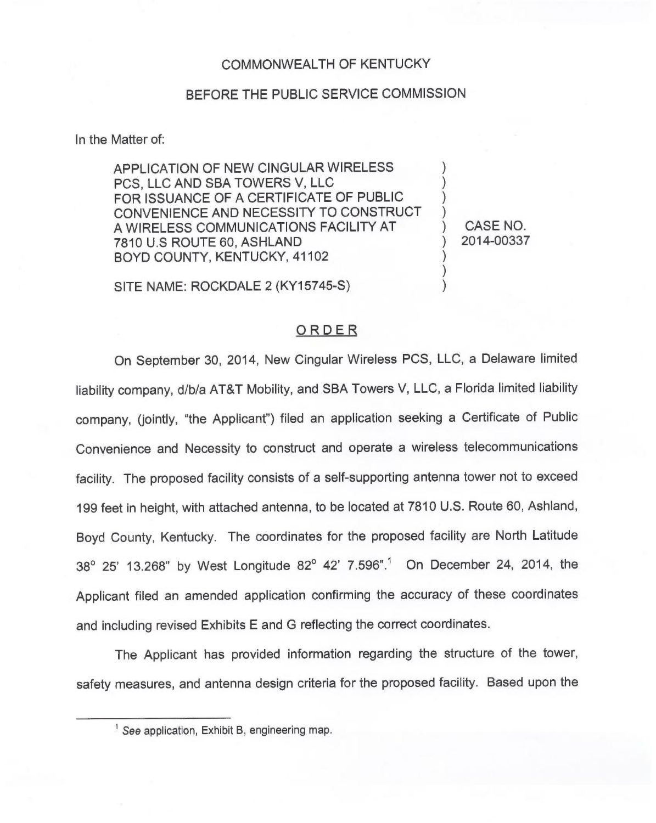## COMMONWEALTH OF KENTUCKY

## BEFORE THE PUBLIC SERVICE COMMISSION

In the Matter of:

APPLICATION OF NEW CINGULAR WIRELESS PCS, LLC AND SBA TOWERS V, LLC FOR ISSUANCE OF A CERTIFICATE OF PUBLIC CONVENIENCE AND NECESSITY TO CONSTRUCT A WIRELESS COMMUNICATIONS FACILITY AT 7810 U.S ROUTE 60, ASHLAND BOYD COUNTY, KENTUCKY, 41102

) CASE NO. ) 2014-00337

) ) ) )

) ) )

SITE NAME: ROCKDALE 2 (KY15745-S)

## ORDER

On September 30, 2014, New Cingular Wireless PCS, LLC, a Delaware limited liability company, d/b/a AT&T Mobility, and SBA Towers V, LLC, a Florida limited liability company, (jointly, "the Applicant") filed an application seeking a Certificate of Publio Convenience and Necessity to construct and operate a wireless telecommunications facility. The proposed facility consists of a self-supporting antenna tower not to exceed 199feet in height, with attached antenna, to be located at 7810 U.S. Route 60, Ashland, Boyd County, Kentucky. The coordinates for the proposed facility are North Latitude 38° 25' 13.268" by West Longitude 82° 42' 7.596".<sup>1</sup> On December 24, 2014, the Applicant filed an amended application confirming the accuracy of these coordinates and including revised Exhibits E and G reflecting the correct coordinates.

The Applicant has provided information regarding the structure of the tower, safety measures, and antenna design criteria for the proposed facility. Based upon the

 $<sup>1</sup>$  See application, Exhibit B, engineering map</sup>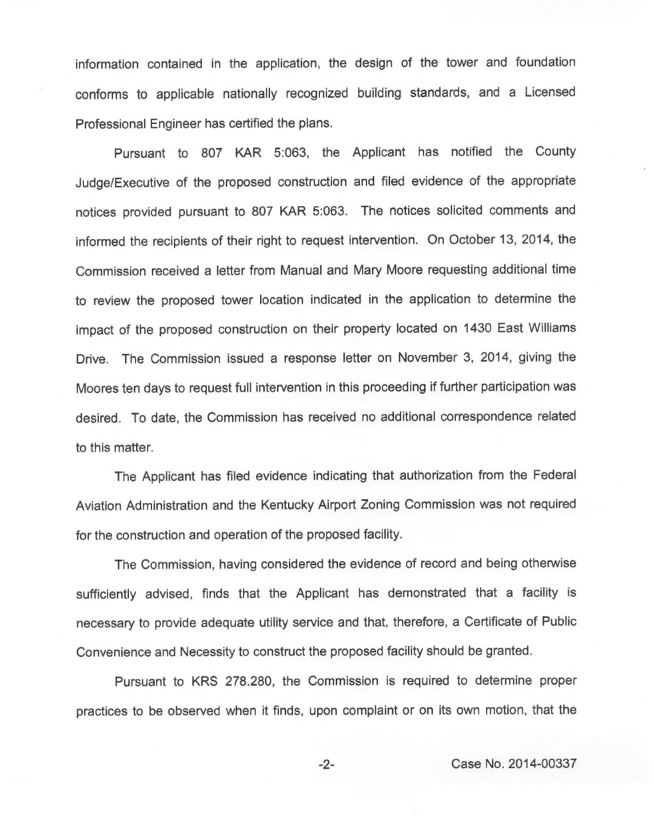information contained in the application, the design of the tower and foundation conforms to applicable nationally recognized building standards, and a Licensed Professional Engineer has certified the plans.

Pursuant to 807 KAR 5:063, the Applicant has notified the County Judge/Executive of the proposed construction and filed evidence of the appropriate notices provided pursuant to 807 KAR 5:063. The notices solicited comments and informed the recipients of their right to request intervention. On October 13, 2014, the Commission received a letter from Manual and Mary Moore requesting additional time to review the proposed tower location indicated in the application to determine the impact of the proposed construction on their property located on 1430 East Williams Drive. The Commission issued a response letter on November 3, 2014, giving the Moores ten days to request full intervention in this proceeding if further participation was desired. To date, the Commission has received no additional correspondence related to this matter.

The Applicant has filed evidence indicating that authorization from the Federal Aviation Administration and the Kentucky Airport Zoning Commission was not required for the construction and operation of the proposed facility.

The Commission, having considered the evidence of record and being otherwise sufficiently advised, finds that the Applicant has demonstrated that a facility is necessary to provide adequate utility service and that, therefore, a Certificate of Public Convenience and Necessity to construct the proposed facility should be granted.

Pursuant to KRS 278.280, the Commission is required to determine proper practices to be observed when it finds, upon complaint or on its own motion, that the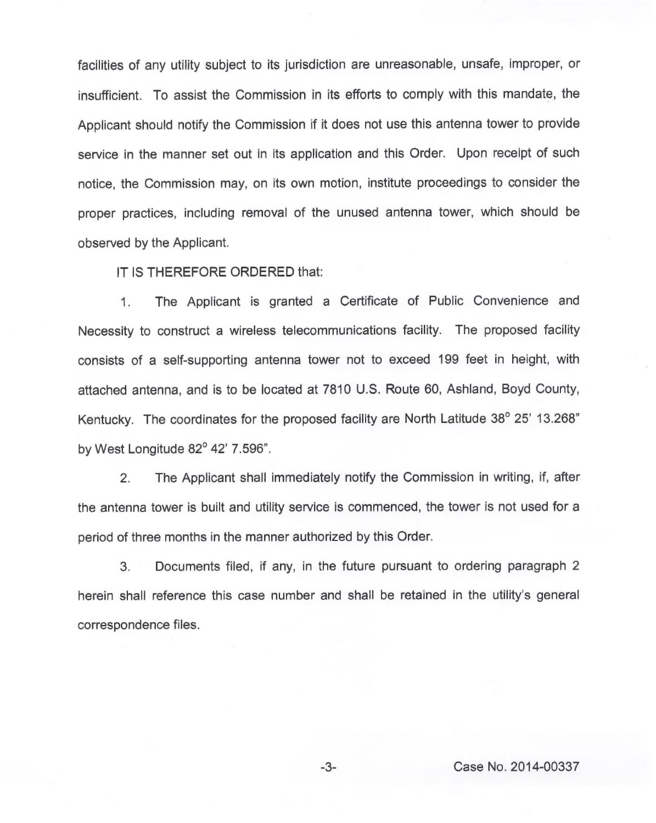facilities of any utility subject to its jurisdiction are unreasonable, unsafe, improper, or insufficient. To assist the Commission in its efforts to comply with this mandate, the Applicant should notify the Commission if it does not use this antenna tower to provide service in the manner set out in its application and this Order. Upon receipt of such notice, the Commission may, on its own motion, institute proceedings to consider the proper practices, including removal of the unused antenna tower, which should be observed by the Applicant.

IT IS THEREFORE ORDERED that:

1. The Applicant is granted a Certificate of Public Convenience and Necessity to construct a wireless telecommunications facility. The proposed facility consists of a self-supporting antenna tower not to exceed 199 feet in height, with attached antenna, and is to be located at 7810 U.S. Route 60, Ashland, Boyd County, Kentucky. The coordinates for the proposed facility are North Latitude  $38^{\circ}$  25' 13.268" by West Longitude 82° 42' 7.596".

2. The Applicant shall immediately notify the Commission in writing, if, after the antenna tower is built and utility service is commenced, the tower is not used for a period of three months in the manner authorized by this Order.

3. Documents filed, if any, in the future pursuant to ordering paragraph 2 herein shall reference this case number and shall be retained in the utility's general correspondence files.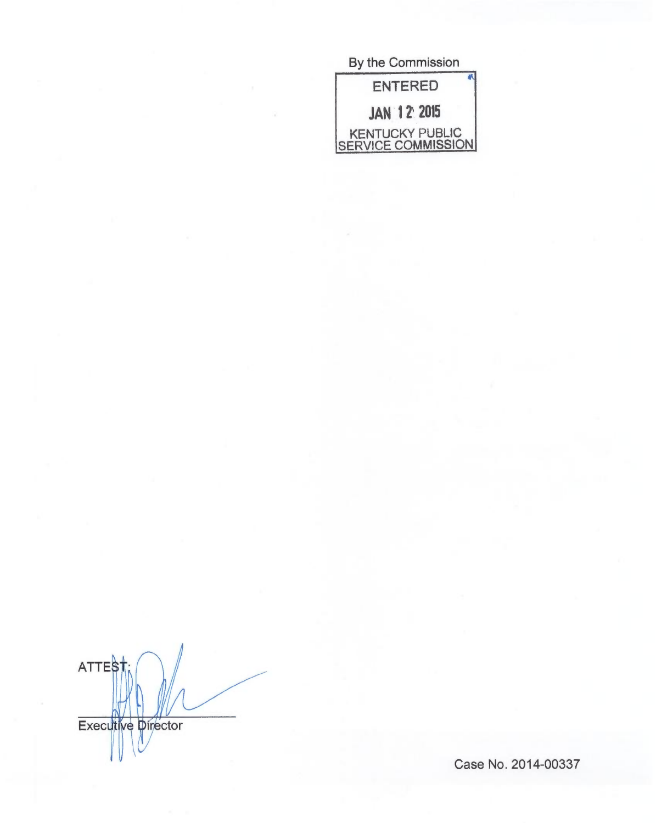| By the Commission                     |
|---------------------------------------|
| <b>ENTERED</b>                        |
| <b>JAN 12 2015</b>                    |
| KENTUCKY PUBLIC<br>SERVICE COMMISSION |

**ATTEST** Executive Director

Case No. 2014-00337